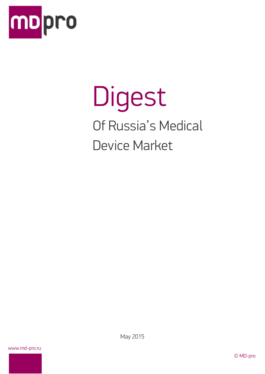

# Digest Of Russia's Medical Device Market

www.md-pro.ru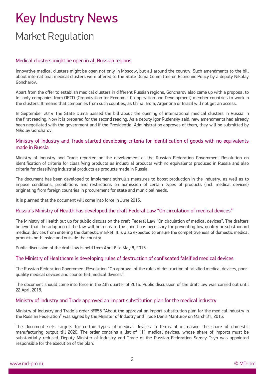# Key Industry News Market Regulation

#### Medical clusters might be open in all Russian regions

Innovative medical clusters might be open not only in Moscow, but all around the country. Such amendments to the bill about international medical clusters were offered to the State Duma Committee on Economic Policy by a deputy Nikolay Goncharov.

Apart from the offer to establish medical clusters in different Russian regions, Goncharov also came up with a proposal to let only companies from OECD (Organization for Economic Co-operation and Development) member countries to work in the clusters. It means that companies from such counties, as China, India, Argentina or Brazil will not get an access.

In September 2014 The State Duma passed the bill about the opening of international medical clusters in Russia in the first reading. Now it is prepared for the second reading. As a deputy Igor Rudensky said, new amendments had already been negotiated with the government and if the Presidential Administration approves of them, they will be submitted by Nikolay Goncharov.

#### Ministry of Industry and Trade started developing criteria for identification of goods with no equivalents made in Russia

Ministry of Industry and Trade reported on the development of the Russian Federation Government Resolution on identification of criteria for classifying products as industrial products with no equivalents produced in Russia and also criteria for classifying industrial products as products made in Russia.

The document has been developed to implement stimulus measures to boost production in the industry, as well as to impose conditions, prohibitions and restrictions on admission of certain types of products (incl. medical devices) originating from foreign countries in procurement for state and municipal needs.

It is planned that the document will come into force in June 2015.

#### Russia's Ministry of Health has developed the draft Federal Law "On circulation of medical devices"

The Ministry of Health put up for public discussion the draft Federal Law "On circulation of medical devices". The drafters believe that the adoption of the law will help create the conditions necessary for preventing low quality or substandard medical devices from entering the domestic market. It is also expected to ensure the competitiveness of domestic medical products both inside and outside the country.

Public discussion of the draft law is held from April 8 to May 8, 2015.

#### The Ministry of Healthcare is developing rules of destruction of confiscated falsified medical devices

The Russian Federation Government Resolution "On approval of the rules of destruction of falsified medical devices, poorquality medical devices and counterfeit medical devices".

The document should come into force in the 4th quarter of 2015. Public discussion of the draft law was carried out until 22 April 2015.

#### Ministry of Industry and Trade approved an import substitution plan for the medical industry

Ministry of Industry and Trade's order №655 "About the approval an import substitution plan for the medical industry in the Russian Federation" was signed by the Minister of Industry and Trade Denis Manturov on March 31, 2015.

The document sets targets for certain types of medical devices in terms of increasing the share of domestic manufacturing output till 2020. The order contains a list of 111 medical devices, whose share of imports must be substantially reduced. Deputy Minister of Industry and Trade of the Russian Federation Sergey Tsyb was appointed responsible for the execution of the plan.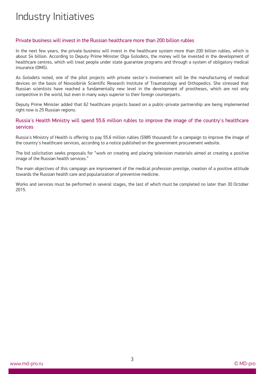### Industry Initiatives

#### Private business will invest in the Russian healthcare more than 200 billion rubles

In the next few years, the private business will invest in the healthcare system more than 200 billion rubles, which is about \$4 billion. According to Deputy Prime Minister Olga Golodets, the money will be invested in the development of healthcare centres, which will treat people under state guarantee programs and through a system of obligatory medical insurance (OMS).

As Golodets noted, one of the pilot projects with private sector's involvement will be the manufacturing of medical devices on the basis of Novosibirsk Scientific Research Institute of Traumatology and Orthopedics. She stressed that Russian scientists have reached a fundamentally new level in the development of prostheses, which are not only competitive in the world, but even in many ways superior to their foreign counterparts.

Deputy Prime Minister added that 62 healthcare projects based on a public-private partnership are being implemented right now is 25 Russian regions.

#### Russia's Health Ministry will spend 55.6 million rubles to improve the image of the country's healthcare services

Russia's Ministry of Health is offering to pay 55.6 million rubles (\$985 thousand) for a campaign to improve the image of the country's healthcare services, according to a notice published on the government procurement website.

The bid solicitation seeks proposals for "work on creating and placing television materials aimed at creating a positive image of the Russian health services."

The main objectives of this campaign are improvement of the medical profession prestige, creation of a positive attitude towards the Russian health care and popularization of preventive medicine.

Works and services must be performed in several stages, the last of which must be completed no later than 30 October 2015.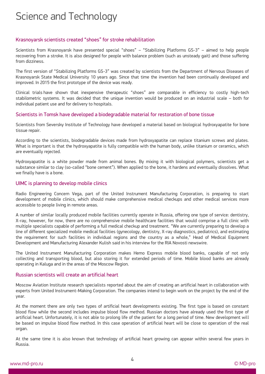### Science and Technology

#### Krasnoyarsk scientists created "shoes" for stroke rehabilitation

Scientists from Krasnoyarsk have presented special "shoes" – "Stabilizing Platforms GS-3" – aimed to help people recovering from a stroke. It is also designed for people with balance problem (such as unsteady gait) and those suffering from dizziness.

The first version of "Stabilizing Platforms GS-3" was created by scientists from the Department of Nervous Diseases of Krasnoyarsk State Medical University 10 years ago. Since that time the invention had been continually developed and improved. In 2015 the first prototype of the device was ready.

Clinical trials have shown that inexpensive therapeutic "shoes" are comparable in efficiency to costly high-tech stabilometric systems. It was decided that the unique invention would be produced on an industrial scale – both for individual patient use and for delivery to hospitals.

#### Scientists in Tomsk have developed a biodegradable material for restoration of bone tissue

Scientists from Seversky Institute of Technology have developed a material based on biological hydroxyapatite for bone tissue repair.

According to the scientists, biodegradable devices made from hydroxyapatite can replace titanium screws and plates. What is important is that the hydroxyapatite is fully compatible with the human body, unlike titanium or ceramics, which are eventually rejected.

Hydroxyapatite is a white powder made from animal bones. By mixing it with biological polymers, scientists get a substance similar to clay (so-called "bone cement"). When applied to the bone, it hardens and eventually dissolves. What we finally have is a bone.

#### UIMC is planning to develop mobile clinics

Radio Engineering Concern Vega, part of the United Instrument Manufacturing Corporation, is preparing to start development of mobile clinics, which should make comprehensive medical checkups and other medical services more accessible to people living in remote areas.

A number of similar locally produced mobile facilities currently operate in Russia, offering one type of service: dentistry, X-ray, however, for now, there are no comprehensive mobile healthcare facilities that would comprise a full clinic with multiple specialists capable of performing a full medical checkup and treatment. "We are currently preparing to develop a line of different specialized mobile medical facilities (gynecology, dentistry, X-ray diagnostics, pediatrics), and estimating the requirement for such facilities in individual regions and the country as a whole," Head of Medical Equipment Development and Manufacturing Alexander Kulish said in his interview for the RIA Novosti newswire.

The United Instrument Manufacturing Corporation makes Hemo Express mobile blood banks, capable of not only collecting and transporting blood, but also storing it for extended periods of time. Mobile blood banks are already operating in Kaluga and in the areas of the Moscow Region.

#### Russian scientists will create an artificial heart

Moscow Aviation Institute research specialists reported about the aim of creating an artificial heart in collaboration with experts from United Instrument-Making Corporation. The companies intend to begin work on the project by the end of the year.

At the moment there are only two types of artificial heart developments existing. The first type is based on constant blood flow while the second includes impulse blood flow method. Russian doctors have already used the first type of artificial heart. Unfortunately, it is not able to prolong life of the patient for a long period of time. New development will be based on impulse blood flow method. In this case operation of artificial heart will be close to operation of the real organ.

At the same time it is also known that technology of artificial heart growing can appear within several few years in Russia.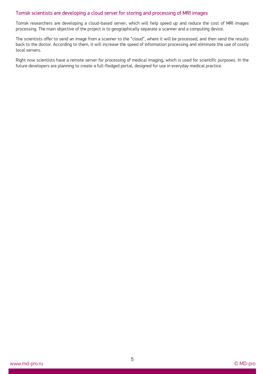#### Tomsk scientists are developing a cloud server for storing and processing of MRI images

Tomsk researchers are developing a cloud-based server, which will help speed up and reduce the cost of MRI images processing. The main objective of the project is to geographically separate a scanner and a computing device.

The scientists offer to send an image from a scanner to the "cloud", where it will be processed, and then send the results back to the doctor. According to them, it will increase the speed of information processing and eliminate the use of costly local servers.

Right now scientists have a remote server for processing of medical imaging, which is used for scientific purposes. In the future developers are planning to create a full-fledged portal, designed for use in everyday medical practice.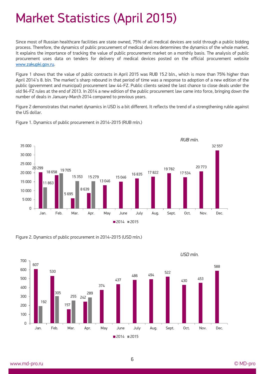## Market Statistics (April 2015)

Since most of Russian healthcare facilities are state owned, 75% of all medical devices are sold through a public bidding process. Therefore, the dynamics of public procurement of medical devices determines the dynamics of the whole market. It explains the importance of tracking the value of public procurement market on a monthly basis. The analysis of public procurement uses data on tenders for delivery of medical devices posted on the official procurement website [www.zakupki.gov.ru.](http://www.zakupki.gov.ru/)

Figure 1 shows that the value of public contracts in April 2015 was RUB 15.2 bln., which is more than 75% higher than April 2014's 8. bln. The market's sharp rebound in that period of time was a response to adoption of a new edition of the public (government and municipal) procurement law 44-FZ. Public clients seized the last chance to close deals under the old 94-FZ rules at the end of 2013. In 2014 a new edition of the public procurement law came into force, bringing down the number of deals in January-March 2014 compared to previous years.

Figure 2 demonstrates that market dynamics in USD is a bit different. It reflects the trend of a strengthening ruble against the US dollar.



Figure 1. Dynamics of public procurement in 2014-2015 (RUB mln.)

Figure 2. Dynamics of public procurement in 2014-2015 (USD mln.)